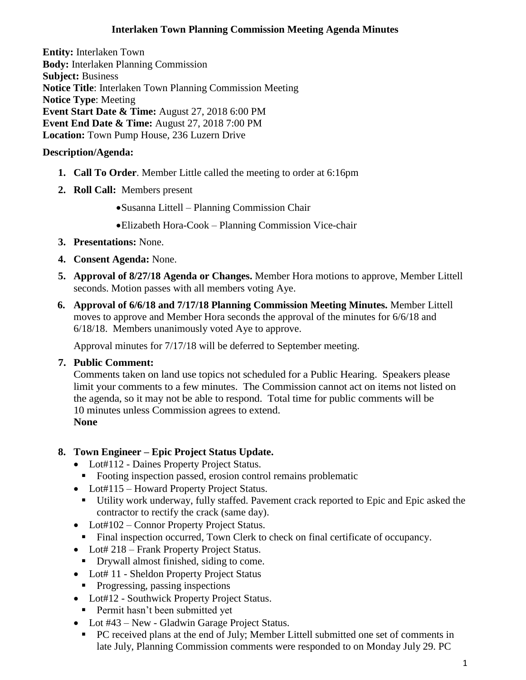### **Interlaken Town Planning Commission Meeting Agenda Minutes**

**Entity:** Interlaken Town **Body:** Interlaken [Planning Commission](http://www.utah.gov/pmn/sitemap/publicbody/5029.html) **Subject:** Business **Notice Title**: Interlaken Town Planning Commission Meeting **Notice Type**: Meeting **Event Start Date & Time:** August 27, 2018 6:00 PM **Event End Date & Time:** August 27, 2018 7:00 PM **Location:** Town Pump House, 236 Luzern Drive

## **Description/Agenda:**

- **1. Call To Order**. Member Little called the meeting to order at 6:16pm
- **2. Roll Call:** Members present
	- •Susanna Littell Planning Commission Chair
	- •Elizabeth Hora-Cook Planning Commission Vice-chair
- **3. Presentations:** None.
- **4. Consent Agenda:** None.
- **5. Approval of 8/27/18 Agenda or Changes.** Member Hora motions to approve, Member Littell seconds. Motion passes with all members voting Aye.
- **6. Approval of 6/6/18 and 7/17/18 Planning Commission Meeting Minutes.** Member Littell moves to approve and Member Hora seconds the approval of the minutes for 6/6/18 and 6/18/18. Members unanimously voted Aye to approve.

Approval minutes for 7/17/18 will be deferred to September meeting.

**7. Public Comment:** 

Comments taken on land use topics not scheduled for a Public Hearing. Speakers please limit your comments to a few minutes. The Commission cannot act on items not listed on the agenda, so it may not be able to respond. Total time for public comments will be 10 minutes unless Commission agrees to extend. **None**

### **8. Town Engineer – Epic Project Status Update.**

- Lot#112 Daines Property Project Status.
	- Footing inspection passed, erosion control remains problematic
- Lot#115 Howard Property Project Status.
	- Utility work underway, fully staffed. Pavement crack reported to Epic and Epic asked the contractor to rectify the crack (same day).
- Lot#102 Connor Property Project Status.
	- Final inspection occurred, Town Clerk to check on final certificate of occupancy.
- Lot# 218 Frank Property Project Status.
- Drywall almost finished, siding to come.
- Lot# 11 Sheldon Property Project Status
- Progressing, passing inspections
- Lot#12 Southwick Property Project Status.
- **•** Permit hasn't been submitted yet
- Lot #43 New Gladwin Garage Project Status.
- PC received plans at the end of July; Member Littell submitted one set of comments in late July, Planning Commission comments were responded to on Monday July 29. PC